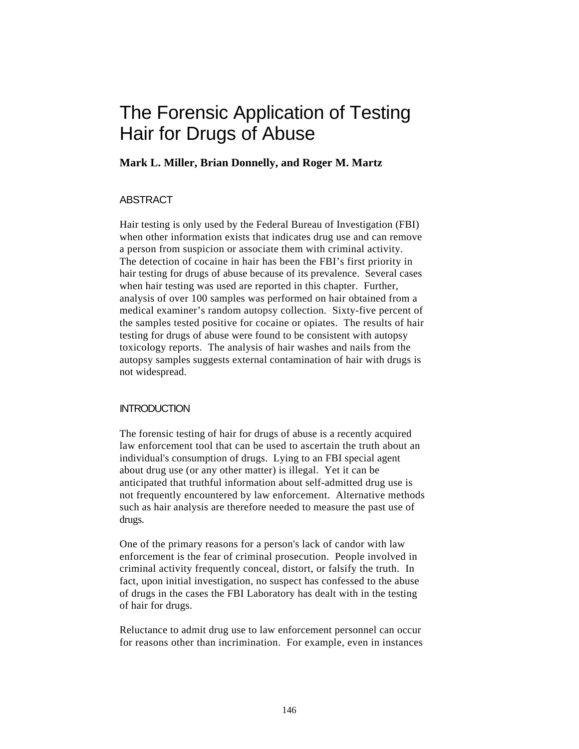# The Forensic Application of Testing Hair for Drugs of Abuse

## **Mark L. Miller, Brian Donnelly, and Roger M. Martz**

## ABSTRACT

Hair testing is only used by the Federal Bureau of Investigation (FBI) when other information exists that indicates drug use and can remove a person from suspicion or associate them with criminal activity. The detection of cocaine in hair has been the FBI's first priority in hair testing for drugs of abuse because of its prevalence. Several cases when hair testing was used are reported in this chapter. Further, analysis of over 100 samples was performed on hair obtained from a medical examiner's random autopsy collection. Sixty-five percent of the samples tested positive for cocaine or opiates. The results of hair testing for drugs of abuse were found to be consistent with autopsy toxicology reports. The analysis of hair washes and nails from the autopsy samples suggests external contamination of hair with drugs is not widespread.

#### **INTRODUCTION**

The forensic testing of hair for drugs of abuse is a recently acquired law enforcement tool that can be used to ascertain the truth about an individual's consumption of drugs. Lying to an FBI special agent about drug use (or any other matter) is illegal. Yet it can be anticipated that truthful information about self-admitted drug use is not frequently encountered by law enforcement. Alternative methods such as hair analysis are therefore needed to measure the past use of drugs.

One of the primary reasons for a person's lack of candor with law enforcement is the fear of criminal prosecution. People involved in criminal activity frequently conceal, distort, or falsify the truth. In fact, upon initial investigation, no suspect has confessed to the abuse of drugs in the cases the FBI Laboratory has dealt with in the testing of hair for drugs.

Reluctance to admit drug use to law enforcement personnel can occur for reasons other than incrimination. For example, even in instances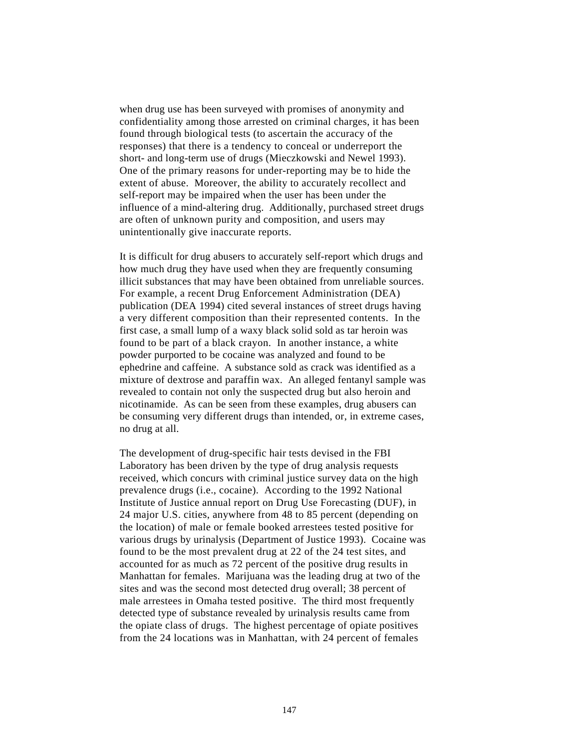when drug use has been surveyed with promises of anonymity and confidentiality among those arrested on criminal charges, it has been found through biological tests (to ascertain the accuracy of the responses) that there is a tendency to conceal or underreport the short- and long-term use of drugs (Mieczkowski and Newel 1993). One of the primary reasons for under-reporting may be to hide the extent of abuse. Moreover, the ability to accurately recollect and self-report may be impaired when the user has been under the influence of a mind-altering drug. Additionally, purchased street drugs are often of unknown purity and composition, and users may unintentionally give inaccurate reports.

It is difficult for drug abusers to accurately self-report which drugs and how much drug they have used when they are frequently consuming illicit substances that may have been obtained from unreliable sources. For example, a recent Drug Enforcement Administration (DEA) publication (DEA 1994) cited several instances of street drugs having a very different composition than their represented contents. In the first case, a small lump of a waxy black solid sold as tar heroin was found to be part of a black crayon. In another instance, a white powder purported to be cocaine was analyzed and found to be ephedrine and caffeine. A substance sold as crack was identified as a mixture of dextrose and paraffin wax. An alleged fentanyl sample was revealed to contain not only the suspected drug but also heroin and nicotinamide. As can be seen from these examples, drug abusers can be consuming very different drugs than intended, or, in extreme cases, no drug at all.

The development of drug-specific hair tests devised in the FBI Laboratory has been driven by the type of drug analysis requests received, which concurs with criminal justice survey data on the high prevalence drugs (i.e., cocaine). According to the 1992 National Institute of Justice annual report on Drug Use Forecasting (DUF), in 24 major U.S. cities, anywhere from 48 to 85 percent (depending on the location) of male or female booked arrestees tested positive for various drugs by urinalysis (Department of Justice 1993). Cocaine was found to be the most prevalent drug at 22 of the 24 test sites, and accounted for as much as 72 percent of the positive drug results in Manhattan for females. Marijuana was the leading drug at two of the sites and was the second most detected drug overall; 38 percent of male arrestees in Omaha tested positive. The third most frequently detected type of substance revealed by urinalysis results came from the opiate class of drugs. The highest percentage of opiate positives from the 24 locations was in Manhattan, with 24 percent of females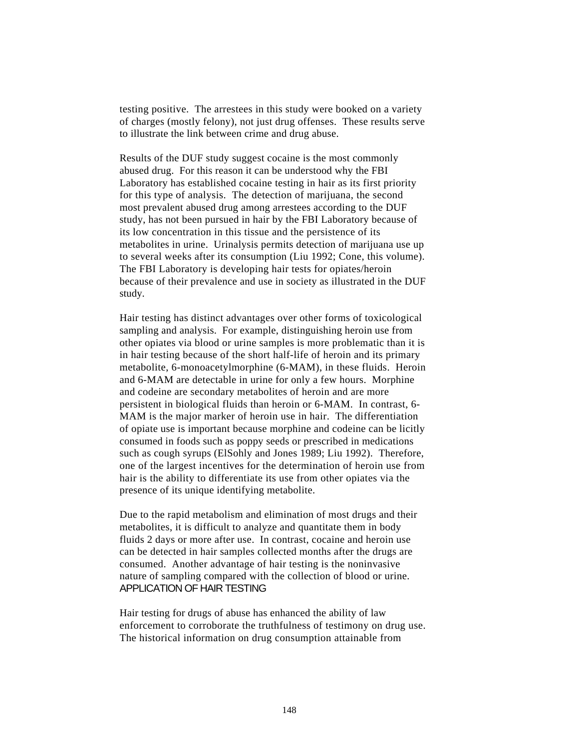testing positive. The arrestees in this study were booked on a variety of charges (mostly felony), not just drug offenses. These results serve to illustrate the link between crime and drug abuse.

Results of the DUF study suggest cocaine is the most commonly abused drug. For this reason it can be understood why the FBI Laboratory has established cocaine testing in hair as its first priority for this type of analysis. The detection of marijuana, the second most prevalent abused drug among arrestees according to the DUF study, has not been pursued in hair by the FBI Laboratory because of its low concentration in this tissue and the persistence of its metabolites in urine. Urinalysis permits detection of marijuana use up to several weeks after its consumption (Liu 1992; Cone, this volume). The FBI Laboratory is developing hair tests for opiates/heroin because of their prevalence and use in society as illustrated in the DUF study.

Hair testing has distinct advantages over other forms of toxicological sampling and analysis. For example, distinguishing heroin use from other opiates via blood or urine samples is more problematic than it is in hair testing because of the short half-life of heroin and its primary metabolite, 6-monoacetylmorphine (6-MAM), in these fluids. Heroin and 6-MAM are detectable in urine for only a few hours. Morphine and codeine are secondary metabolites of heroin and are more persistent in biological fluids than heroin or 6-MAM. In contrast, 6- MAM is the major marker of heroin use in hair. The differentiation of opiate use is important because morphine and codeine can be licitly consumed in foods such as poppy seeds or prescribed in medications such as cough syrups (ElSohly and Jones 1989; Liu 1992). Therefore, one of the largest incentives for the determination of heroin use from hair is the ability to differentiate its use from other opiates via the presence of its unique identifying metabolite.

Due to the rapid metabolism and elimination of most drugs and their metabolites, it is difficult to analyze and quantitate them in body fluids 2 days or more after use. In contrast, cocaine and heroin use can be detected in hair samples collected months after the drugs are consumed. Another advantage of hair testing is the noninvasive nature of sampling compared with the collection of blood or urine. APPLICATION OF HAIR TESTING

Hair testing for drugs of abuse has enhanced the ability of law enforcement to corroborate the truthfulness of testimony on drug use. The historical information on drug consumption attainable from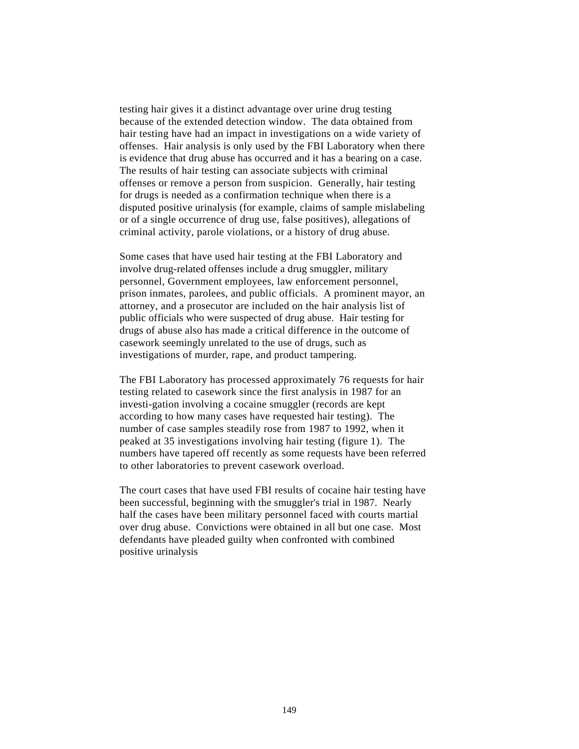testing hair gives it a distinct advantage over urine drug testing because of the extended detection window. The data obtained from hair testing have had an impact in investigations on a wide variety of offenses. Hair analysis is only used by the FBI Laboratory when there is evidence that drug abuse has occurred and it has a bearing on a case. The results of hair testing can associate subjects with criminal offenses or remove a person from suspicion. Generally, hair testing for drugs is needed as a confirmation technique when there is a disputed positive urinalysis (for example, claims of sample mislabeling or of a single occurrence of drug use, false positives), allegations of criminal activity, parole violations, or a history of drug abuse.

Some cases that have used hair testing at the FBI Laboratory and involve drug-related offenses include a drug smuggler, military personnel, Government employees, law enforcement personnel, prison inmates, parolees, and public officials. A prominent mayor, an attorney, and a prosecutor are included on the hair analysis list of public officials who were suspected of drug abuse. Hair testing for drugs of abuse also has made a critical difference in the outcome of casework seemingly unrelated to the use of drugs, such as investigations of murder, rape, and product tampering.

The FBI Laboratory has processed approximately 76 requests for hair testing related to casework since the first analysis in 1987 for an investi-gation involving a cocaine smuggler (records are kept according to how many cases have requested hair testing). The number of case samples steadily rose from 1987 to 1992, when it peaked at 35 investigations involving hair testing (figure 1). The numbers have tapered off recently as some requests have been referred to other laboratories to prevent casework overload.

The court cases that have used FBI results of cocaine hair testing have been successful, beginning with the smuggler's trial in 1987. Nearly half the cases have been military personnel faced with courts martial over drug abuse. Convictions were obtained in all but one case. Most defendants have pleaded guilty when confronted with combined positive urinalysis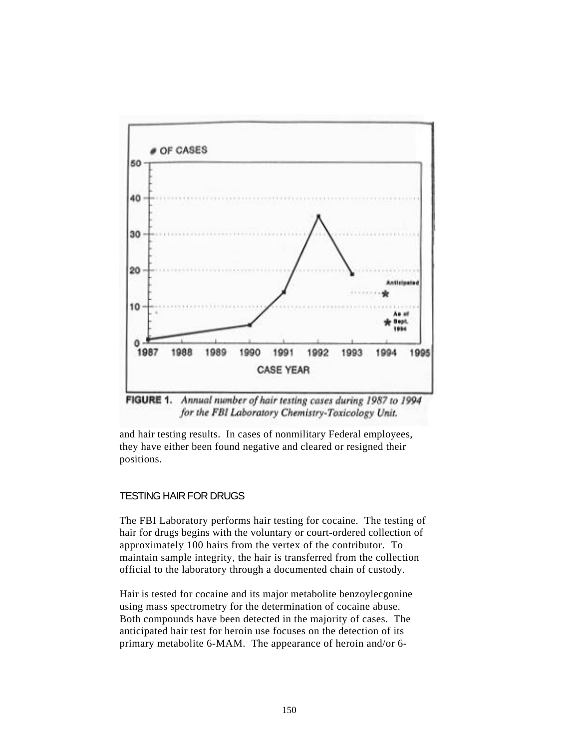

for the FBI Laboratory Chemistry-Toxicology Unit.

and hair testing results. In cases of nonmilitary Federal employees, they have either been found negative and cleared or resigned their positions.

## TESTING HAIR FOR DRUGS

The FBI Laboratory performs hair testing for cocaine. The testing of hair for drugs begins with the voluntary or court-ordered collection of approximately 100 hairs from the vertex of the contributor. To maintain sample integrity, the hair is transferred from the collection official to the laboratory through a documented chain of custody.

Hair is tested for cocaine and its major metabolite benzoylecgonine using mass spectrometry for the determination of cocaine abuse. Both compounds have been detected in the majority of cases. The anticipated hair test for heroin use focuses on the detection of its primary metabolite 6-MAM. The appearance of heroin and/or 6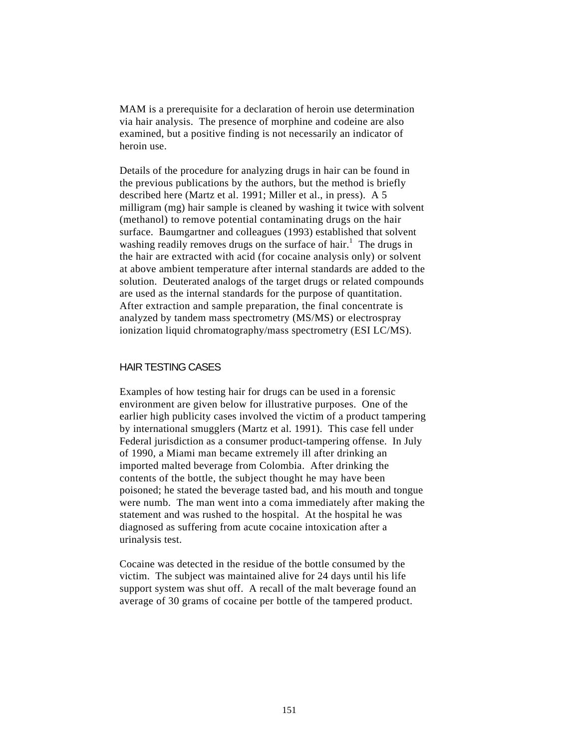MAM is a prerequisite for a declaration of heroin use determination via hair analysis. The presence of morphine and codeine are also examined, but a positive finding is not necessarily an indicator of heroin use.

Details of the procedure for analyzing drugs in hair can be found in the previous publications by the authors, but the method is briefly described here (Martz et al. 1991; Miller et al., in press). A 5 milligram (mg) hair sample is cleaned by washing it twice with solvent (methanol) to remove potential contaminating drugs on the hair surface. Baumgartner and colleagues (1993) established that solvent washing readily removes drugs on the surface of hair.<sup>1</sup> The drugs in the hair are extracted with acid (for cocaine analysis only) or solvent at above ambient temperature after internal standards are added to the solution. Deuterated analogs of the target drugs or related compounds are used as the internal standards for the purpose of quantitation. After extraction and sample preparation, the final concentrate is analyzed by tandem mass spectrometry (MS/MS) or electrospray ionization liquid chromatography/mass spectrometry (ESI LC/MS).

#### HAIR TESTING CASES

Examples of how testing hair for drugs can be used in a forensic environment are given below for illustrative purposes. One of the earlier high publicity cases involved the victim of a product tampering by international smugglers (Martz et al. 1991). This case fell under Federal jurisdiction as a consumer product-tampering offense. In July of 1990, a Miami man became extremely ill after drinking an imported malted beverage from Colombia. After drinking the contents of the bottle, the subject thought he may have been poisoned; he stated the beverage tasted bad, and his mouth and tongue were numb. The man went into a coma immediately after making the statement and was rushed to the hospital. At the hospital he was diagnosed as suffering from acute cocaine intoxication after a urinalysis test.

Cocaine was detected in the residue of the bottle consumed by the victim. The subject was maintained alive for 24 days until his life support system was shut off. A recall of the malt beverage found an average of 30 grams of cocaine per bottle of the tampered product.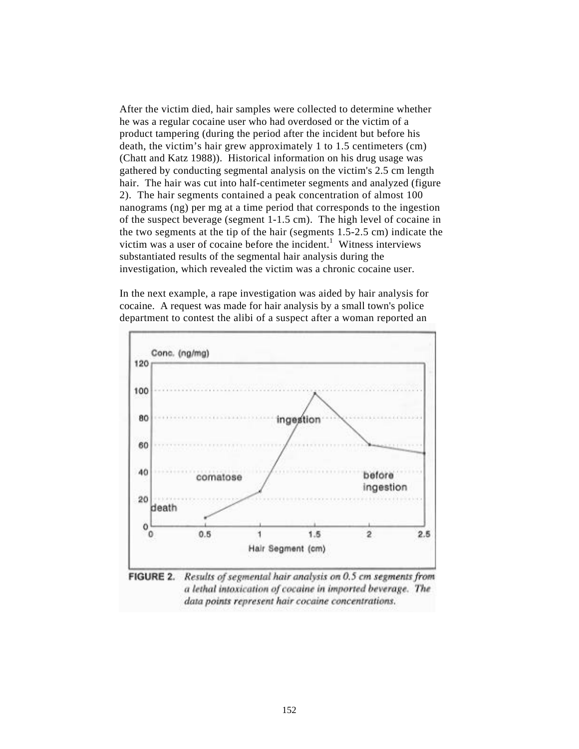After the victim died, hair samples were collected to determine whether he was a regular cocaine user who had overdosed or the victim of a product tampering (during the period after the incident but before his death, the victim's hair grew approximately 1 to 1.5 centimeters (cm) (Chatt and Katz 1988)). Historical information on his drug usage was gathered by conducting segmental analysis on the victim's 2.5 cm length hair. The hair was cut into half-centimeter segments and analyzed (figure 2). The hair segments contained a peak concentration of almost 100 nanograms (ng) per mg at a time period that corresponds to the ingestion of the suspect beverage (segment 1-1.5 cm). The high level of cocaine in the two segments at the tip of the hair (segments 1.5-2.5 cm) indicate the victim was a user of cocaine before the incident.<sup>1</sup> Witness interviews substantiated results of the segmental hair analysis during the investigation, which revealed the victim was a chronic cocaine user.

In the next example, a rape investigation was aided by hair analysis for cocaine. A request was made for hair analysis by a small town's police department to contest the alibi of a suspect after a woman reported an



Results of segmental hair analysis on 0.5 cm segments from a lethal intoxication of cocaine in imported beverage. The data points represent hair cocaine concentrations.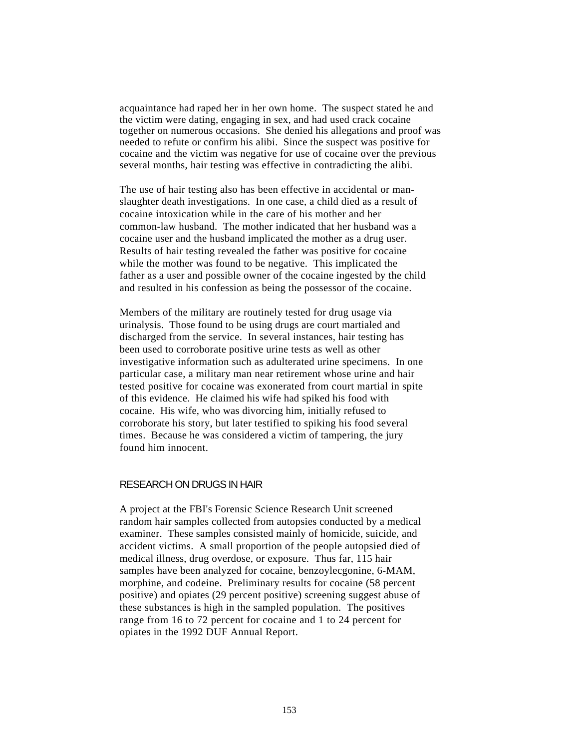acquaintance had raped her in her own home. The suspect stated he and the victim were dating, engaging in sex, and had used crack cocaine together on numerous occasions. She denied his allegations and proof was needed to refute or confirm his alibi. Since the suspect was positive for cocaine and the victim was negative for use of cocaine over the previous several months, hair testing was effective in contradicting the alibi.

The use of hair testing also has been effective in accidental or manslaughter death investigations. In one case, a child died as a result of cocaine intoxication while in the care of his mother and her common-law husband. The mother indicated that her husband was a cocaine user and the husband implicated the mother as a drug user. Results of hair testing revealed the father was positive for cocaine while the mother was found to be negative. This implicated the father as a user and possible owner of the cocaine ingested by the child and resulted in his confession as being the possessor of the cocaine.

Members of the military are routinely tested for drug usage via urinalysis. Those found to be using drugs are court martialed and discharged from the service. In several instances, hair testing has been used to corroborate positive urine tests as well as other investigative information such as adulterated urine specimens. In one particular case, a military man near retirement whose urine and hair tested positive for cocaine was exonerated from court martial in spite of this evidence. He claimed his wife had spiked his food with cocaine. His wife, who was divorcing him, initially refused to corroborate his story, but later testified to spiking his food several times. Because he was considered a victim of tampering, the jury found him innocent.

#### RESEARCH ON DRUGS IN HAIR

A project at the FBI's Forensic Science Research Unit screened random hair samples collected from autopsies conducted by a medical examiner. These samples consisted mainly of homicide, suicide, and accident victims. A small proportion of the people autopsied died of medical illness, drug overdose, or exposure. Thus far, 115 hair samples have been analyzed for cocaine, benzoylecgonine, 6-MAM, morphine, and codeine. Preliminary results for cocaine (58 percent positive) and opiates (29 percent positive) screening suggest abuse of these substances is high in the sampled population. The positives range from 16 to 72 percent for cocaine and 1 to 24 percent for opiates in the 1992 DUF Annual Report.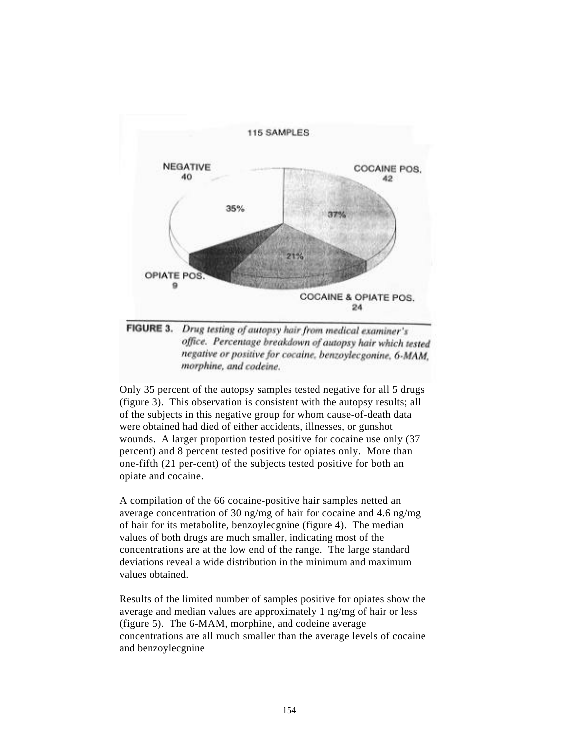



Only 35 percent of the autopsy samples tested negative for all 5 drugs (figure 3). This observation is consistent with the autopsy results; all of the subjects in this negative group for whom cause-of-death data were obtained had died of either accidents, illnesses, or gunshot wounds. A larger proportion tested positive for cocaine use only (37 percent) and 8 percent tested positive for opiates only. More than one-fifth (21 per-cent) of the subjects tested positive for both an opiate and cocaine.

A compilation of the 66 cocaine-positive hair samples netted an average concentration of 30 ng/mg of hair for cocaine and 4.6 ng/mg of hair for its metabolite, benzoylecgnine (figure 4). The median values of both drugs are much smaller, indicating most of the concentrations are at the low end of the range. The large standard deviations reveal a wide distribution in the minimum and maximum values obtained.

Results of the limited number of samples positive for opiates show the average and median values are approximately 1 ng/mg of hair or less (figure 5). The 6-MAM, morphine, and codeine average concentrations are all much smaller than the average levels of cocaine and benzoylecgnine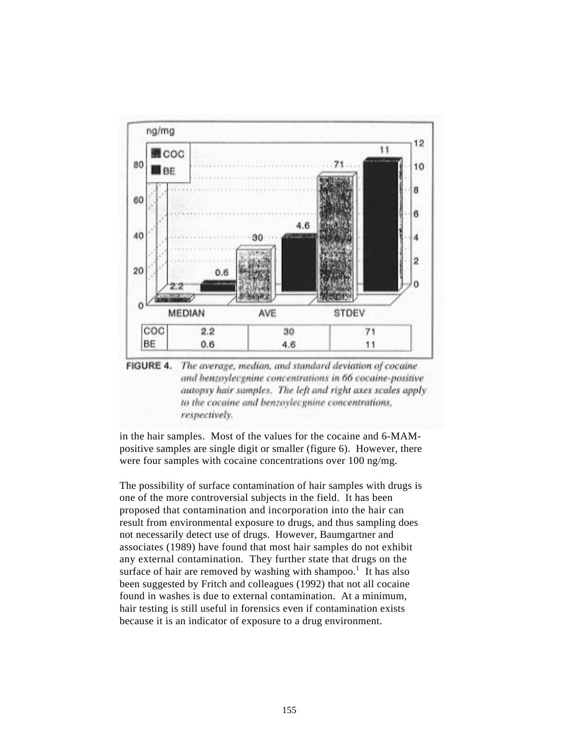

FIGURE 4. The average, median, and standard deviation of cocaine and benzoylecgnine concentrations in 66 cocaine-positive autopsy hair samples. The left and right axes scales apply to the cocaine and benzoylecgnine concentrations, respectively.

in the hair samples. Most of the values for the cocaine and 6-MAMpositive samples are single digit or smaller (figure 6). However, there were four samples with cocaine concentrations over 100 ng/mg.

The possibility of surface contamination of hair samples with drugs is one of the more controversial subjects in the field. It has been proposed that contamination and incorporation into the hair can result from environmental exposure to drugs, and thus sampling does not necessarily detect use of drugs. However, Baumgartner and associates (1989) have found that most hair samples do not exhibit any external contamination. They further state that drugs on the surface of hair are removed by washing with shampoo.<sup>1</sup> It has also been suggested by Fritch and colleagues (1992) that not all cocaine found in washes is due to external contamination. At a minimum, hair testing is still useful in forensics even if contamination exists because it is an indicator of exposure to a drug environment.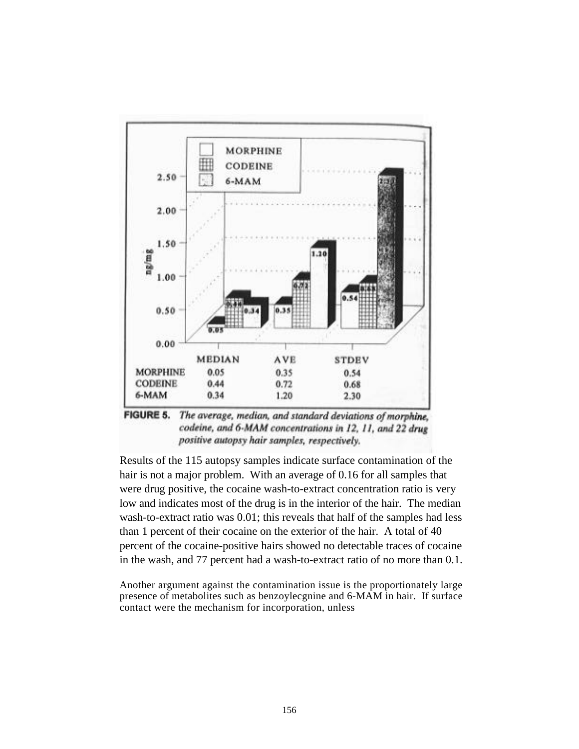

**FIGURE 5.** The average, median, and standard deviations of morphine, codeine, and 6-MAM concentrations in 12, 11, and 22 drug positive autopsy hair samples, respectively.

Results of the 115 autopsy samples indicate surface contamination of the hair is not a major problem. With an average of 0.16 for all samples that were drug positive, the cocaine wash-to-extract concentration ratio is very low and indicates most of the drug is in the interior of the hair. The median wash-to-extract ratio was 0.01; this reveals that half of the samples had less than 1 percent of their cocaine on the exterior of the hair. A total of 40 percent of the cocaine-positive hairs showed no detectable traces of cocaine in the wash, and 77 percent had a wash-to-extract ratio of no more than 0.1.

Another argument against the contamination issue is the proportionately large presence of metabolites such as benzoylecgnine and 6-MAM in hair. If surface contact were the mechanism for incorporation, unless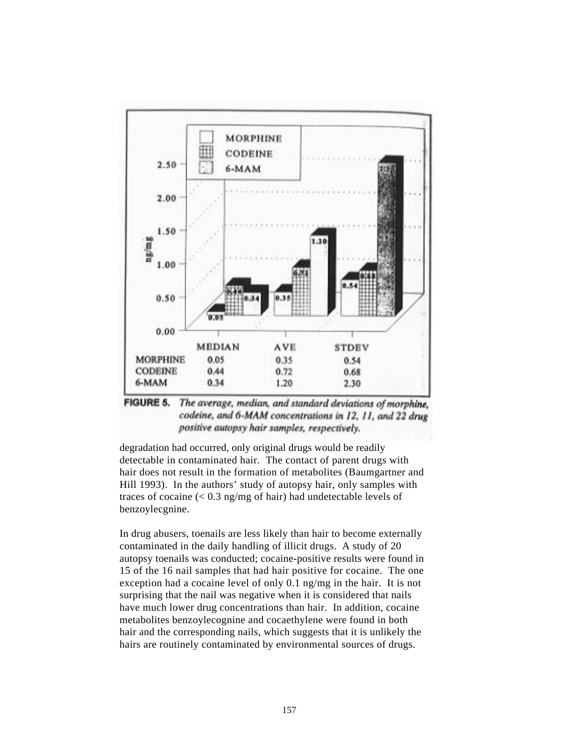

**FIGURE 5.** The average, median, and standard deviations of morphine. codeine, and 6-MAM concentrations in 12, 11, and 22 drug positive autopsy hair samples, respectively.

degradation had occurred, only original drugs would be readily detectable in contaminated hair. The contact of parent drugs with hair does not result in the formation of metabolites (Baumgartner and Hill 1993). In the authors' study of autopsy hair, only samples with traces of cocaine  $\left($  < 0.3 ng/mg of hair) had undetectable levels of benzoylecgnine.

In drug abusers, toenails are less likely than hair to become externally contaminated in the daily handling of illicit drugs. A study of 20 autopsy toenails was conducted; cocaine-positive results were found in 15 of the 16 nail samples that had hair positive for cocaine. The one exception had a cocaine level of only 0.1 ng/mg in the hair. It is not surprising that the nail was negative when it is considered that nails have much lower drug concentrations than hair. In addition, cocaine metabolites benzoylecognine and cocaethylene were found in both hair and the corresponding nails, which suggests that it is unlikely the hairs are routinely contaminated by environmental sources of drugs.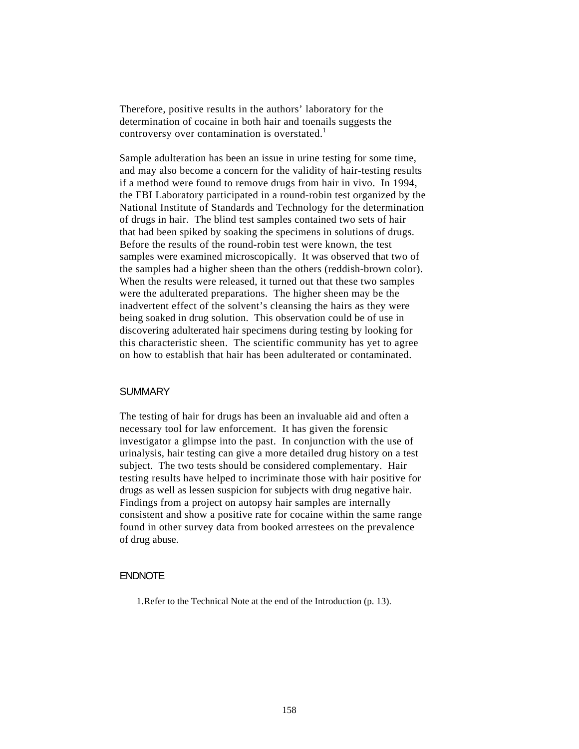Therefore, positive results in the authors' laboratory for the determination of cocaine in both hair and toenails suggests the controversy over contamination is overstated.<sup>1</sup>

Sample adulteration has been an issue in urine testing for some time, and may also become a concern for the validity of hair-testing results if a method were found to remove drugs from hair in vivo. In 1994, the FBI Laboratory participated in a round-robin test organized by the National Institute of Standards and Technology for the determination of drugs in hair. The blind test samples contained two sets of hair that had been spiked by soaking the specimens in solutions of drugs. Before the results of the round-robin test were known, the test samples were examined microscopically. It was observed that two of the samples had a higher sheen than the others (reddish-brown color). When the results were released, it turned out that these two samples were the adulterated preparations. The higher sheen may be the inadvertent effect of the solvent's cleansing the hairs as they were being soaked in drug solution. This observation could be of use in discovering adulterated hair specimens during testing by looking for this characteristic sheen. The scientific community has yet to agree on how to establish that hair has been adulterated or contaminated.

#### **SUMMARY**

The testing of hair for drugs has been an invaluable aid and often a necessary tool for law enforcement. It has given the forensic investigator a glimpse into the past. In conjunction with the use of urinalysis, hair testing can give a more detailed drug history on a test subject. The two tests should be considered complementary. Hair testing results have helped to incriminate those with hair positive for drugs as well as lessen suspicion for subjects with drug negative hair. Findings from a project on autopsy hair samples are internally consistent and show a positive rate for cocaine within the same range found in other survey data from booked arrestees on the prevalence of drug abuse.

## ENDNOTE

1. Refer to the Technical Note at the end of the Introduction (p. 13).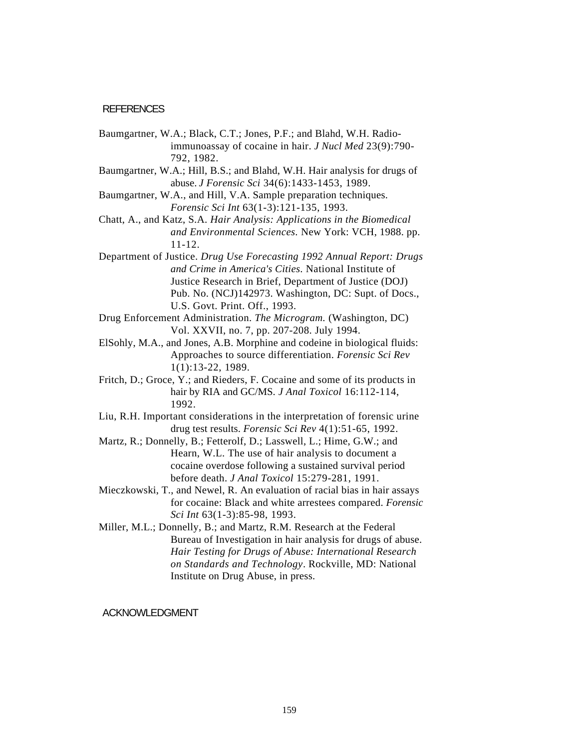#### **REFERENCES**

- Baumgartner, W.A.; Black, C.T.; Jones, P.F.; and Blahd, W.H. Radioimmunoassay of cocaine in hair. *J Nucl Med* 23(9):790- 792, 1982.
- Baumgartner, W.A.; Hill, B.S.; and Blahd, W.H. Hair analysis for drugs of abuse. *J Forensic Sci* 34(6):1433-1453, 1989.
- Baumgartner, W.A., and Hill, V.A. Sample preparation techniques. *Forensic Sci Int* 63(1-3):121-135, 1993.
- Chatt, A., and Katz, S.A. *Hair Analysis: Applications in the Biomedical and Environmental Sciences.* New York: VCH, 1988. pp. 11-12.
- Department of Justice. *Drug Use Forecasting 1992 Annual Report: Drugs and Crime in America's Cities*. National Institute of Justice Research in Brief, Department of Justice (DOJ) Pub. No. (NCJ)142973. Washington, DC: Supt. of Docs., U.S. Govt. Print. Off., 1993.
- Drug Enforcement Administration. *The Microgram.* (Washington, DC) Vol. XXVII, no. 7, pp. 207-208. July 1994.
- ElSohly, M.A., and Jones, A.B. Morphine and codeine in biological fluids: Approaches to source differentiation. *Forensic Sci Rev* 1(1):13-22, 1989.
- Fritch, D.; Groce, Y.; and Rieders, F. Cocaine and some of its products in hair by RIA and GC/MS. *J Anal Toxicol* 16:112-114, 1992.
- Liu, R.H. Important considerations in the interpretation of forensic urine drug test results. *Forensic Sci Rev* 4(1):51-65, 1992.
- Martz, R.; Donnelly, B.; Fetterolf, D.; Lasswell, L.; Hime, G.W.; and Hearn, W.L. The use of hair analysis to document a cocaine overdose following a sustained survival period before death. *J Anal Toxicol* 15:279-281, 1991.
- Mieczkowski, T., and Newel, R. An evaluation of racial bias in hair assays for cocaine: Black and white arrestees compared. *Forensic Sci Int* 63(1-3):85-98, 1993.
- Miller, M.L.; Donnelly, B.; and Martz, R.M. Research at the Federal Bureau of Investigation in hair analysis for drugs of abuse. *Hair Testing for Drugs of Abuse: International Research on Standards and Technology*. Rockville, MD: National Institute on Drug Abuse, in press.

#### ACKNOWLEDGMENT